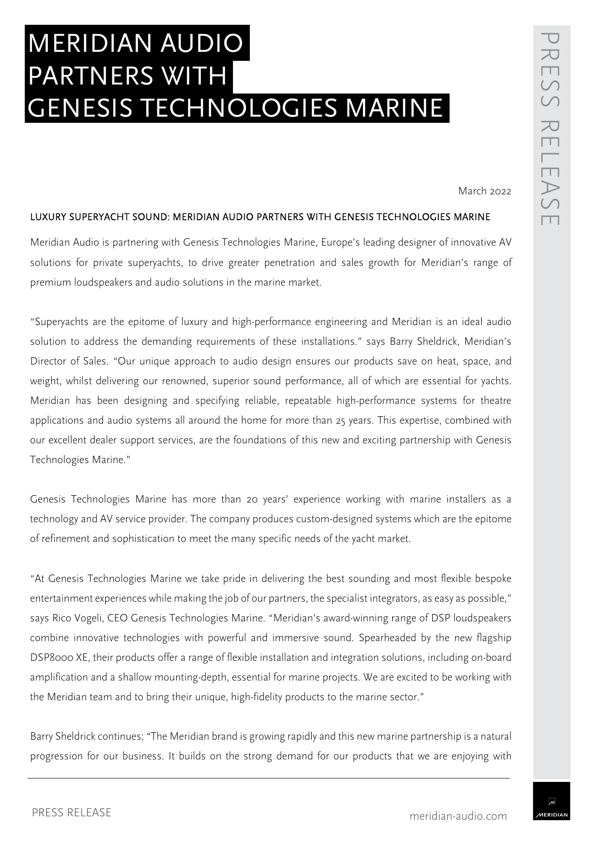# MERIDIAN AUDIO PARTNERS WITH GENESIS TECHNOLOGIES MARINE

March 2022

#### LUXURY SUPERYACHT SOUND: MERIDIAN AUDIO PARTNERS WITH GENESIS TECHNOLOGIES MARINE

Meridian Audio is partnering with Genesis Technologies Marine, Europe's leading designer of innovative AV solutions for private superyachts, to drive greater penetration and sales growth for Meridian's range of premium loudspeakers and audio solutions in the marine market.

"Superyachts are the epitome of luxury and high-performance engineering and Meridian is an ideal audio solution to address the demanding requirements of these installations." says Barry Sheldrick, Meridian's Director of Sales. "Our unique approach to audio design ensures our products save on heat, space, and weight, whilst delivering our renowned, superior sound performance, all of which are essential for yachts. Meridian has been designing and specifying reliable, repeatable high-performance systems for theatre applications and audio systems all around the home for more than 25 years. This expertise, combined with our excellent dealer support services, are the foundations of this new and exciting partnership with Genesis Technologies Marine."

Genesis Technologies Marine has more than 20 years' experience working with marine installers as a technology and AV service provider. The company produces custom-designed systems which are the epitome of refinement and sophistication to meet the many specific needs of the yacht market.

"At Genesis Technologies Marine we take pride in delivering the best sounding and most flexible bespoke entertainment experiences while making the job of our partners, the specialist integrators, as easy as possible," says Rico Vogeli, CEO Genesis Technologies Marine. "Meridian's award-winning range of DSP loudspeakers combine innovative technologies with powerful and immersive sound. Spearheaded by the new flagship DSP8000 XE, their products offer a range of flexible installation and integration solutions, including on-board amplification and a shallow mounting-depth, essential for marine projects. We are excited to be working with the Meridian team and to bring their unique, high-fidelity products to the marine sector."

Barry Sheldrick continues; "The Meridian brand is growing rapidly and this new marine partnership is a natural progression for our business. It builds on the strong demand for our products that we are enjoying with